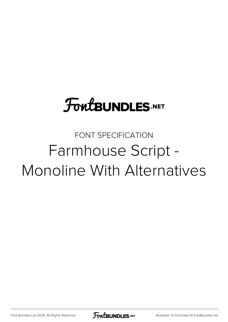## **FoutBUNDLES.NET**

## FONT SPECIFICATION Farmhouse Script - Monoline With Alternatives

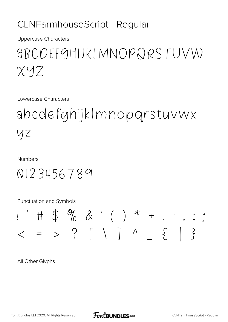## CLNFarmhouseScript - Regular

**Uppercase Characters** 

## *ABCDEFGHIJKLMNOPQRSTUVW*  $XYZ$

Lowercase Characters

abcdefghijkImnopgrstuvwx YZ

**Numbers** 

0123456789

Punctuation and Symbols



All Other Glyphs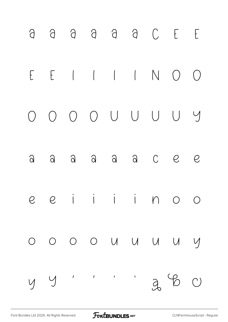